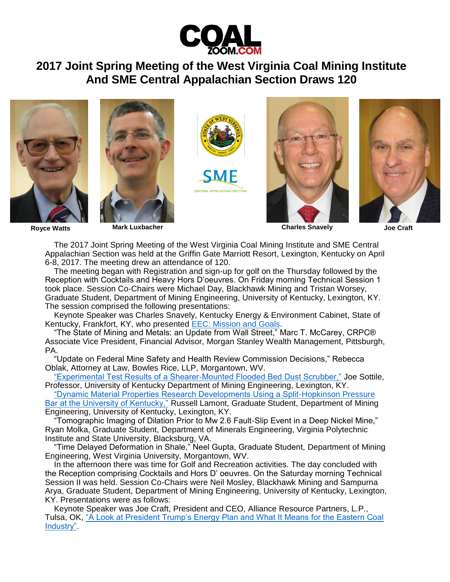

## **2017 Joint Spring Meeting of the West Virginia Coal Mining Institute And SME Central Appalachian Section Draws 120**











**Royce Watts Mark Luxbacher Charles Snavely Joe Craft**

The 2017 Joint Spring Meeting of the West Virginia Coal Mining Institute and SME Central Appalachian Section was held at the Griffin Gate Marriott Resort, Lexington, Kentucky on April 6-8, 2017. The meeting drew an attendance of 120.

The meeting began with Registration and sign-up for golf on the Thursday followed by the Reception with Cocktails and Heavy Hors D'oeuvres. On Friday morning Technical Session 1 took place. Session Co-Chairs were Michael Day, Blackhawk Mining and Tristan Worsey, Graduate Student, Department of Mining Engineering, University of Kentucky, Lexington, KY. The session comprised the following presentations:

Keynote Speaker was Charles Snavely, Kentucky Energy & Environment Cabinet, State of Kentucky, Frankfort, KY, who presented [EEC: Mission and Goals.](http://www.coalzoom.com/userfiles/file/Charles_Snavely%20Central%20Appalachian%20Section%20of%20SME%20Presentation%20-%20Final%20Draft.pdf)

"The State of Mining and Metals: an Update from Wall Street," Marc T. McCarey, CRPC® Associate Vice President, Financial Advisor, Morgan Stanley Wealth Management, Pittsburgh, PA.

"Update on Federal Mine Safety and Health Review Commission Decisions," Rebecca Oblak, Attorney at Law, Bowles Rice, LLP, Morgantown, WV.

["Experimental Test Results of a Shearer-Mounted Flooded Bed Dust Scrubber,"](http://www.coalzoom.com/userfiles/file/Joseph_Sottile%20Shearer%20Flooded%20Bed%20Dust%20Scrubber-SME%20CAS-WVCMI-2017.pdf) Joe Sottile, Professor, University of Kentucky Department of Mining Engineering, Lexington, KY.

["Dynamic Material Properties Research Developments Using a Split-Hopkinson Pressure](http://www.coalzoom.com/userfiles/file/Russell%20Lamont%20-%20WVCMI%20April%202017.pdf)  [Bar at the University of Kentucky,"](http://www.coalzoom.com/userfiles/file/Russell%20Lamont%20-%20WVCMI%20April%202017.pdf) Russell Lamont, Graduate Student, Department of Mining Engineering, University of Kentucky, Lexington, KY.

"Tomographic Imaging of Dilation Prior to Mw 2.6 Fault-Slip Event in a Deep Nickel Mine," Ryan Molka, Graduate Student, Department of Minerals Engineering, Virginia Polytechnic Institute and State University, Blacksburg, VA.

"Time Delayed Deformation in Shale," Neel Gupta, Graduate Student, Department of Mining Engineering, West Virginia University, Morgantown, WV.

In the afternoon there was time for Golf and Recreation activities. The day concluded with the Reception comprising Cocktails and Hors D' oeuvres. On the Saturday morning Technical Session II was held. Session Co-Chairs were Neil Mosley, Blackhawk Mining and Sampurna Arya, Graduate Student, Department of Mining Engineering, University of Kentucky, Lexington, KY. Presentations were as follows:

Keynote Speaker was Joe Craft, President and CEO, Alliance Resource Partners, L.P., Tulsa, OK, ["A Look at President Trump's Energy Plan and What It Means for the Eastern Coal](http://www.coalzoom.com/userfiles/file/Joe%20Craft%20Talk%20-%20SME%20WVCMI%20-%20Lexington,%20KY%20-%20April%208,%202017(2).pdf)  [Industry".](http://www.coalzoom.com/userfiles/file/Joe%20Craft%20Talk%20-%20SME%20WVCMI%20-%20Lexington,%20KY%20-%20April%208,%202017(2).pdf)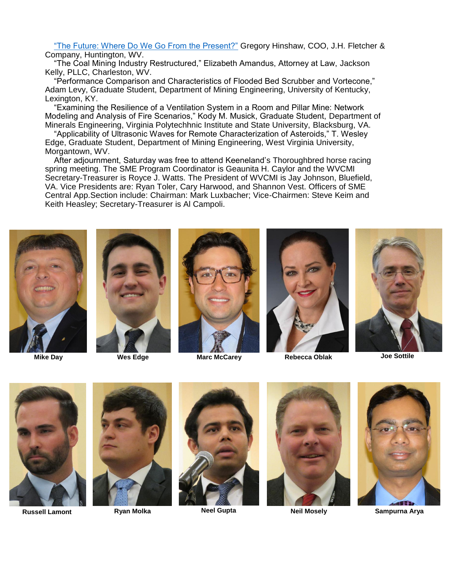["The Future: Where Do We Go From the Present?"](http://www.coalzoom.com/userfiles/file/Greg%20Hinshaw%20(The%20Future___).pdf) Gregory Hinshaw, COO, J.H. Fletcher & Company, Huntington, WV.

"The Coal Mining Industry Restructured," Elizabeth Amandus, Attorney at Law, Jackson Kelly, PLLC, Charleston, WV.

"Performance Comparison and Characteristics of Flooded Bed Scrubber and Vortecone," Adam Levy, Graduate Student, Department of Mining Engineering, University of Kentucky, Lexington, KY.

"Examining the Resilience of a Ventilation System in a Room and Pillar Mine: Network Modeling and Analysis of Fire Scenarios," Kody M. Musick, Graduate Student, Department of Minerals Engineering, Virginia Polytechhnic Institute and State University, Blacksburg, VA.

"Applicability of Ultrasonic Waves for Remote Characterization of Asteroids," T. Wesley Edge, Graduate Student, Department of Mining Engineering, West Virginia University, Morgantown, WV.

After adjournment, Saturday was free to attend Keeneland's Thoroughbred horse racing spring meeting. The SME Program Coordinator is Geaunita H. Caylor and the WVCMI Secretary-Treasurer is Royce J. Watts. The President of WVCMI is Jay Johnson, Bluefield, VA. Vice Presidents are: Ryan Toler, Cary Harwood, and Shannon Vest. Officers of SME Central App.Section include: Chairman: Mark Luxbacher; Vice-Chairmen: Steve Keim and Keith Heasley; Secretary-Treasurer is Al Campoli.









**Mike Day Wes Edge Marc McCarey Rebecca Oblak Joe Sottile**





**Russell Lamont Ryan Molka Neel Gupta Neil Mosely Sampurna Arya**